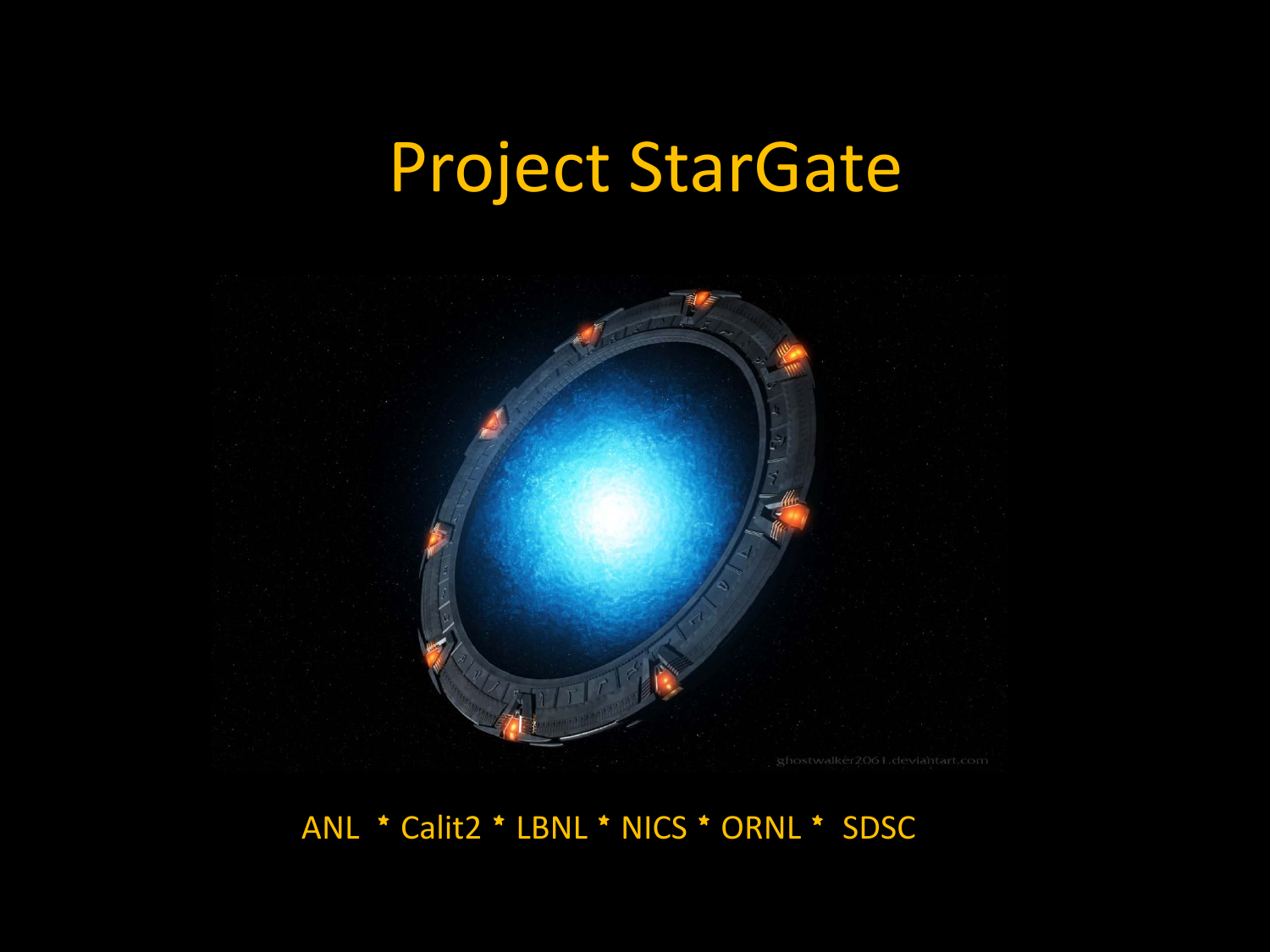# Project StarGate

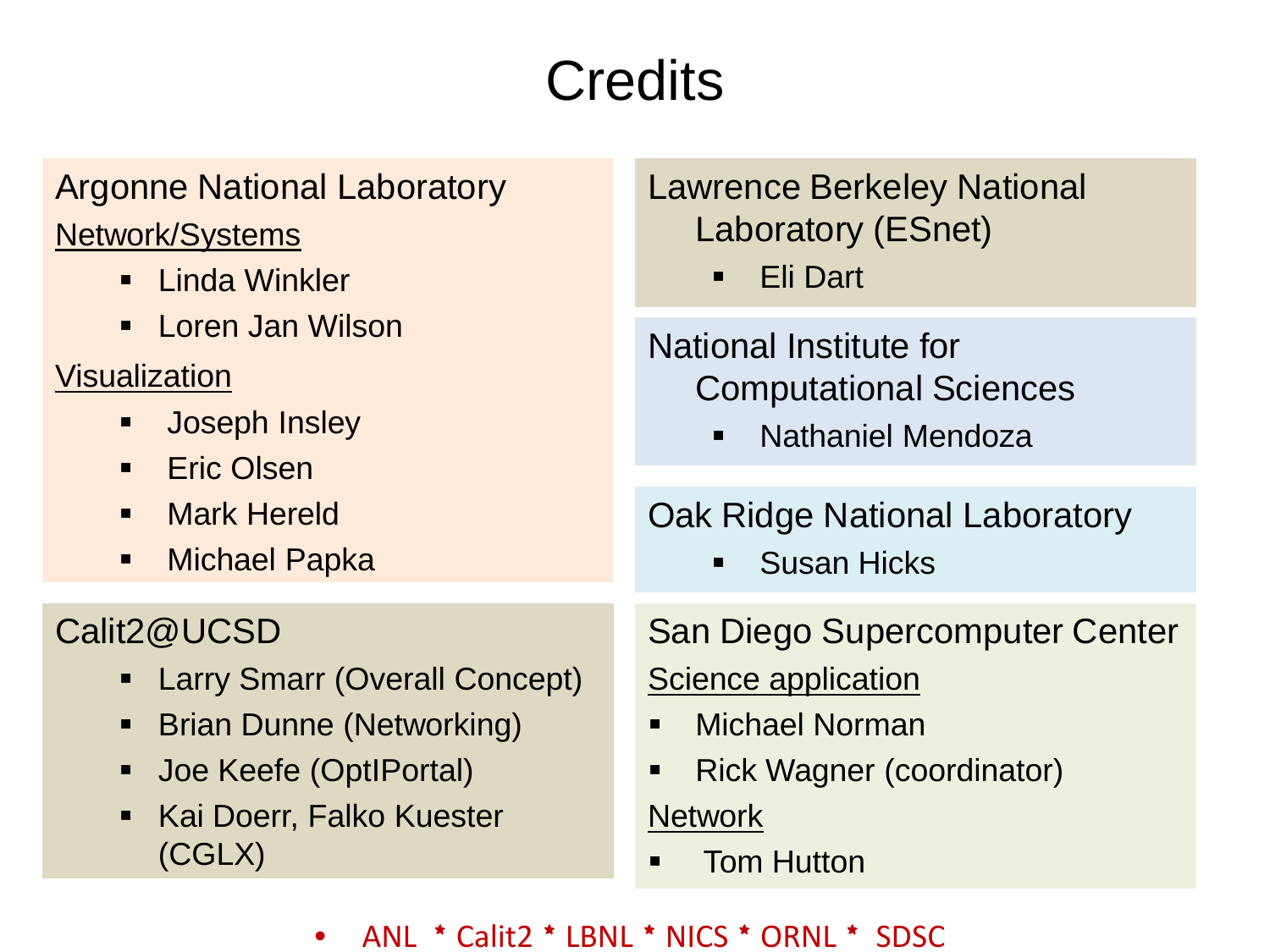# **Credits**

### Argonne National Laboratory Network/Systems

- **Linda Winkler**
- **Loren Jan Wilson**

### **Visualization**

- **Joseph Insley**
- **Eric Olsen**
- **Nark Hereld**
- **•** Michael Papka

## Calit2@UCSD

- **-** Larry Smarr (Overall Concept)
- **Brian Dunne (Networking)**
- **Joe Keefe (OptlPortal)**
- **Kai Doerr, Falko Kuester** (CGLX)

## Lawrence Berkeley National Laboratory (ESnet)

Eli Dart

## National Institute for Computational Sciences

Nathaniel Mendoza

## Oak Ridge National Laboratory

**Susan Hicks** 

San Diego Supercomputer Center **Science application** 

- Michael Norman
- Rick Wagner (coordinator)

### **Network**

Tom Hutton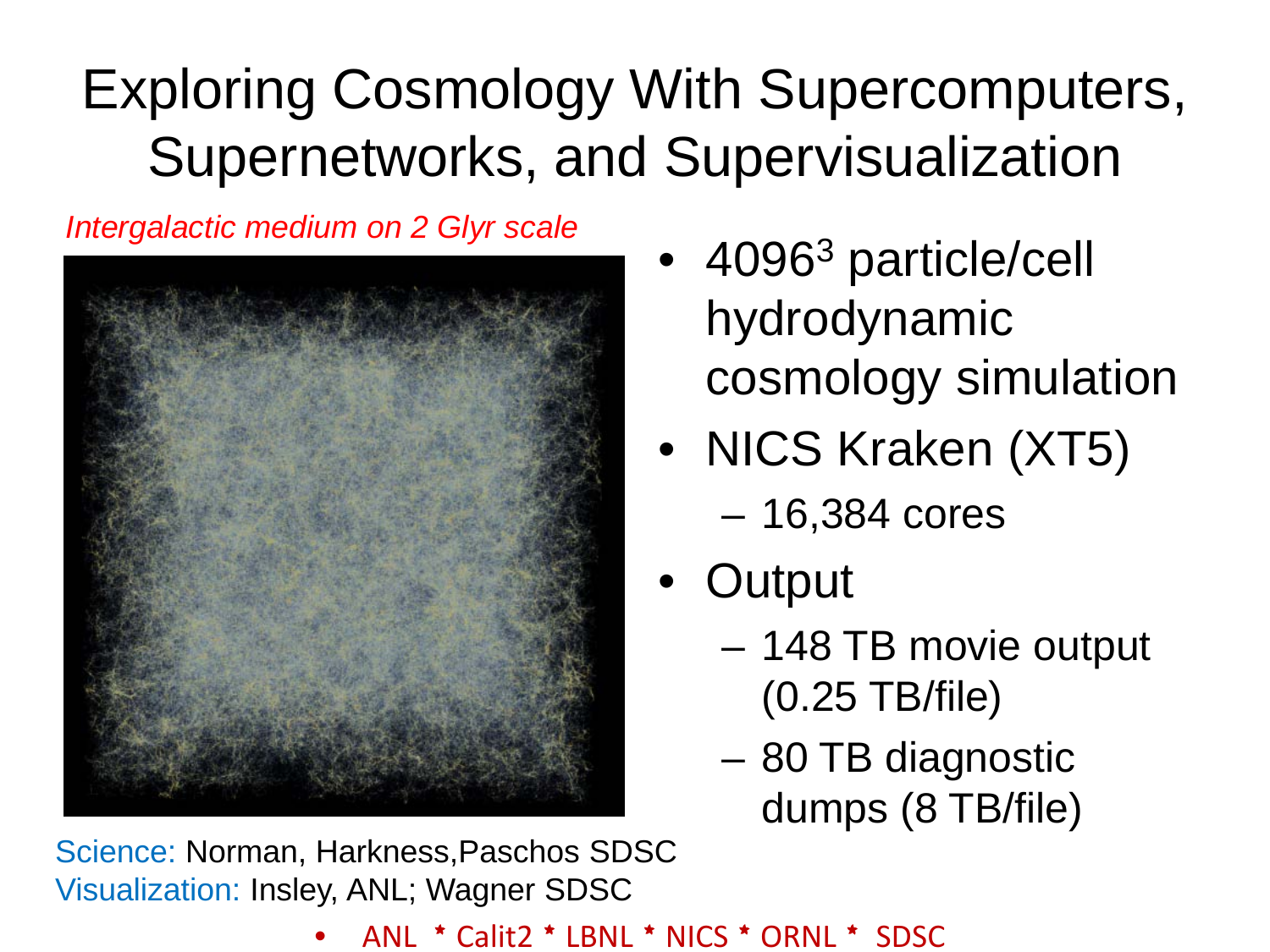# Exploring Cosmology With Supercomputers, Supernetworks, and Supervisualization

*Intergalactic medium on 2 Glyr scale*



Science: Norman, Harkness,Paschos SDSC Visualization: Insley, ANL; Wagner SDSC

- 40963 particle/cell hydrodynamic cosmology simulation
- NICS Kraken (XT5) – 16,384 cores
- **Output** 
	- 148 TB movie output (0.25 TB/file)
	- 80 TB diagnostic dumps (8 TB/file)
- ANL \* Calit2 \* LBNL \* NICS \* ORNL \* SDSC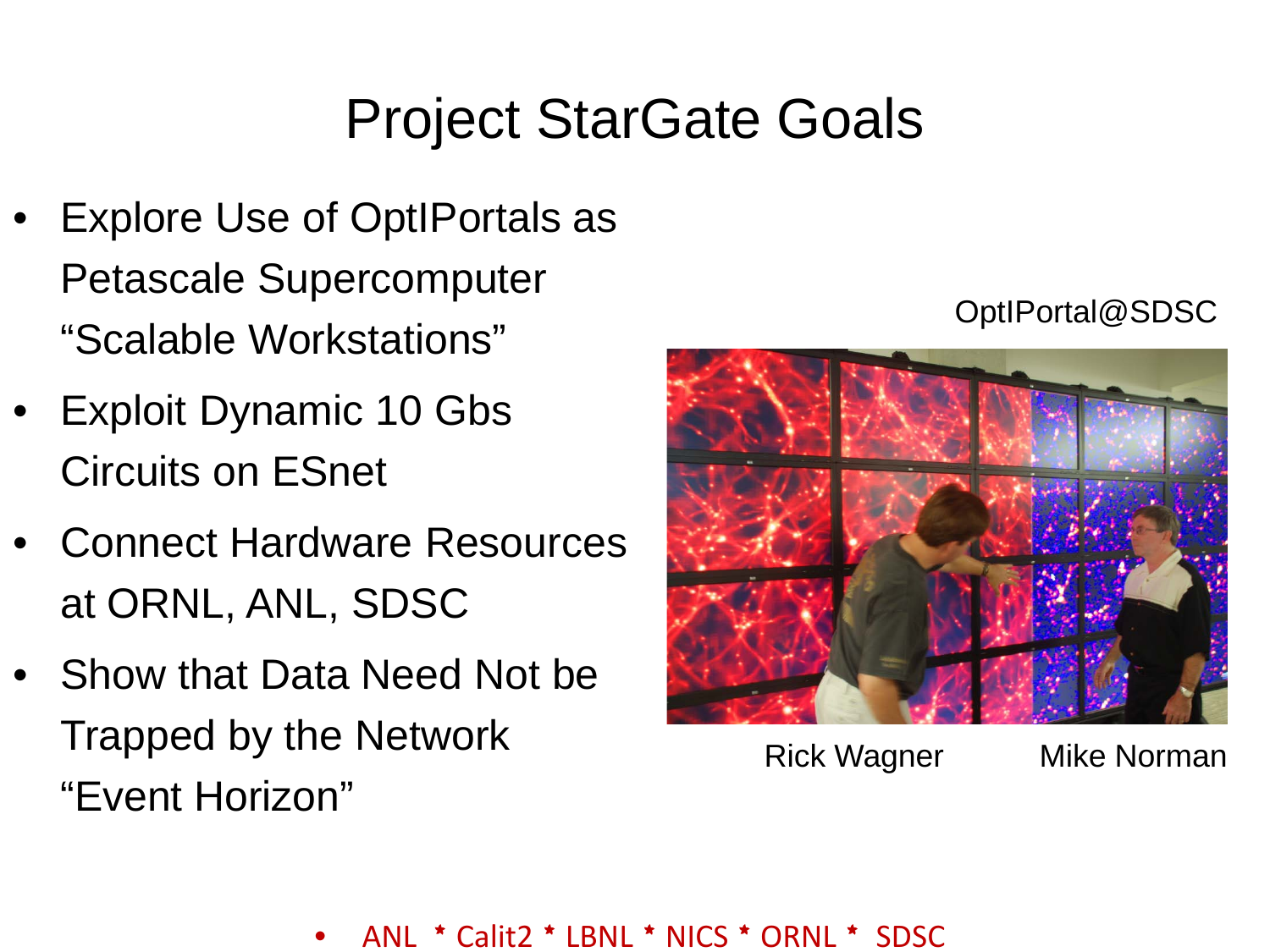# Project StarGate Goals

- Explore Use of OptIPortals as Petascale Supercomputer "Scalable Workstations"
- Exploit Dynamic 10 Gbs Circuits on ESnet
- Connect Hardware Resources at ORNL, ANL, SDSC
- Show that Data Need Not be Trapped by the Network "Event Horizon"

OptIPortal@SDSC



Rick Wagner Mike Norman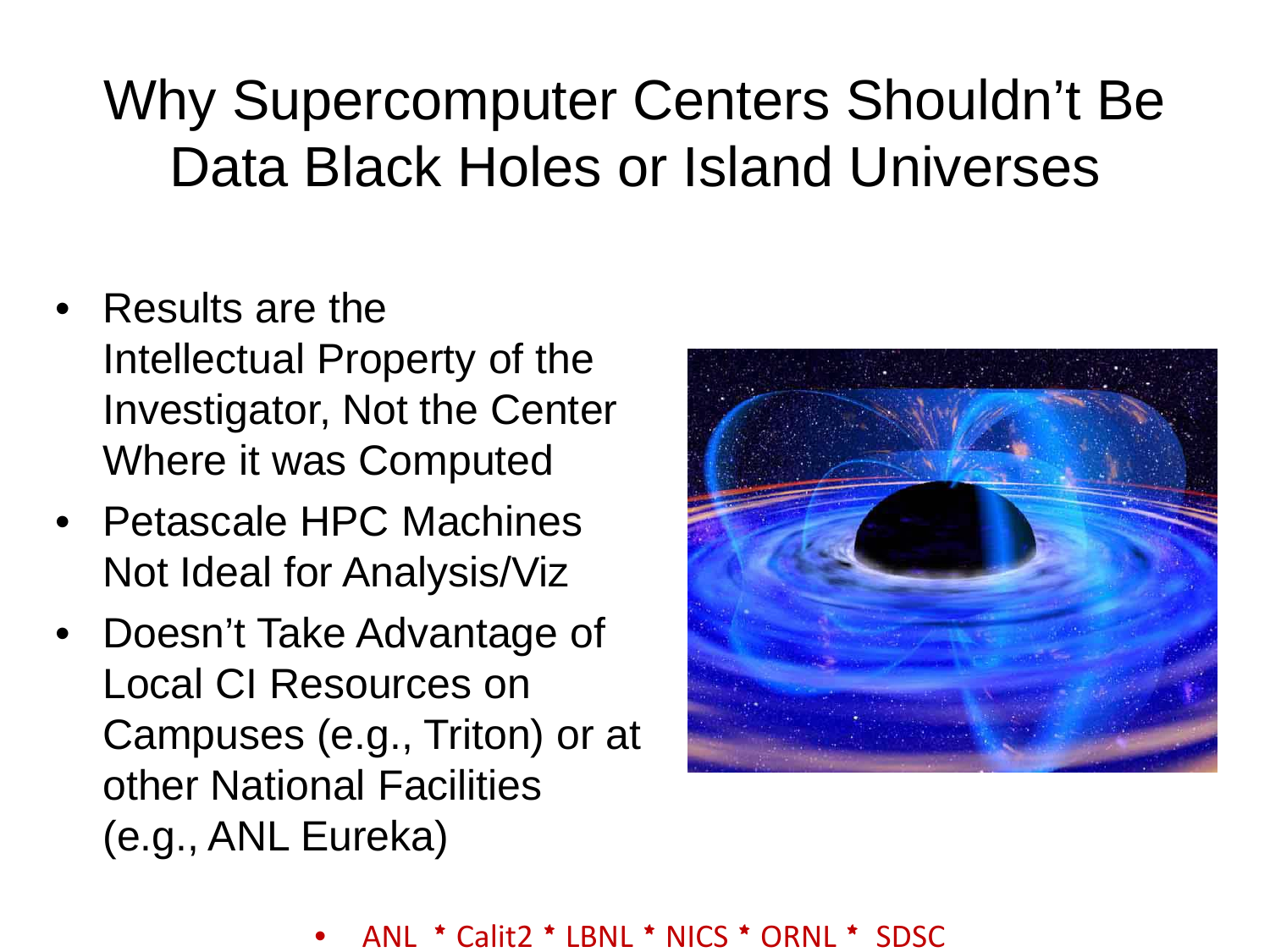# Why Supercomputer Centers Shouldn't Be Data Black Holes or Island Universes

- Results are the Intellectual Property of the Investigator, Not the Center Where it was Computed
- Petascale HPC Machines Not Ideal for Analysis/Viz
- Doesn't Take Advantage of Local CI Resources on Campuses (e.g., Triton) or at other National Facilities (e.g., ANL Eureka)

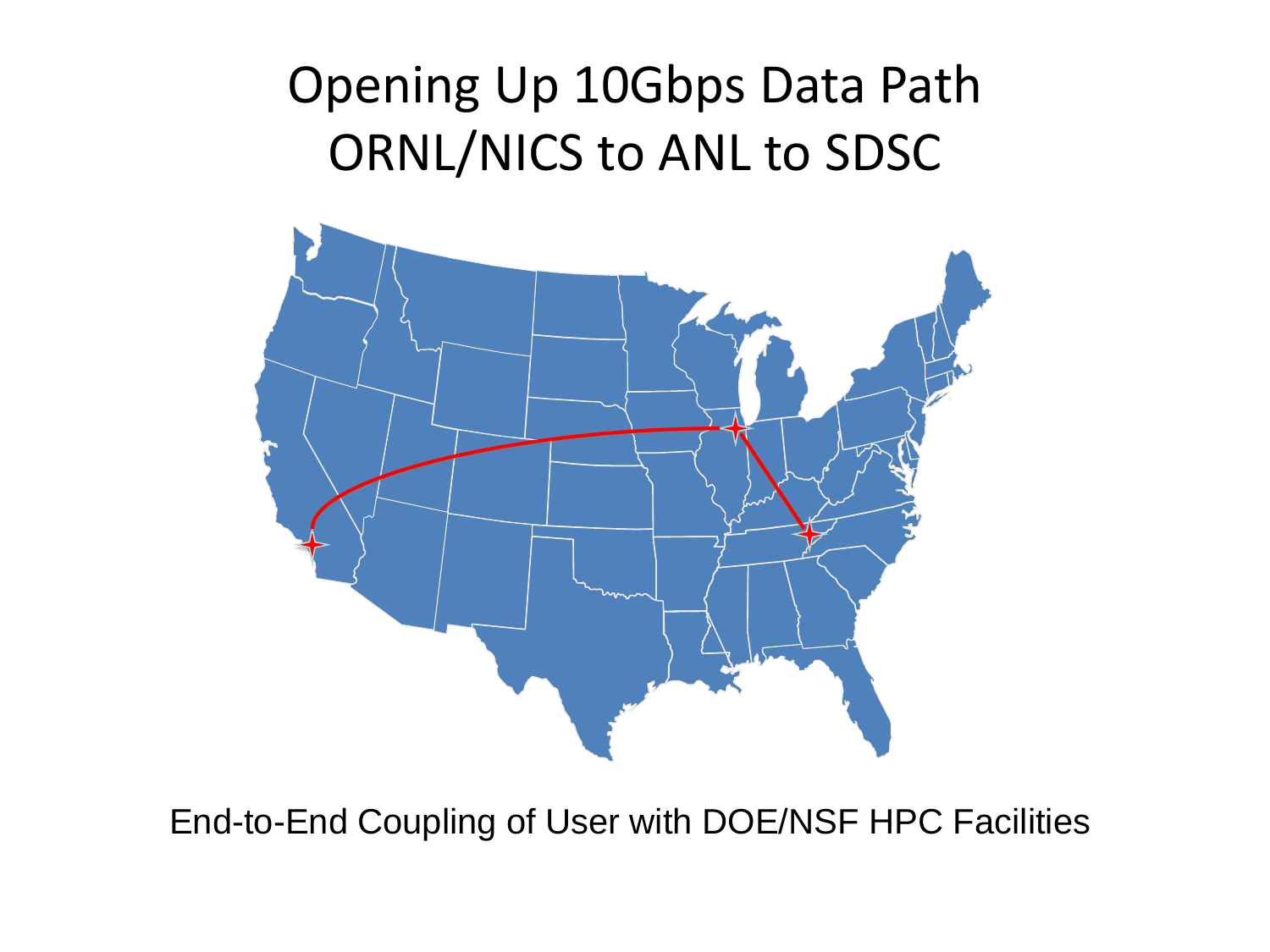## Opening Up 10Gbps Data Path ORNL/NICS to ANL to SDSC



End-to-End Coupling of User with DOE/NSF HPC Facilities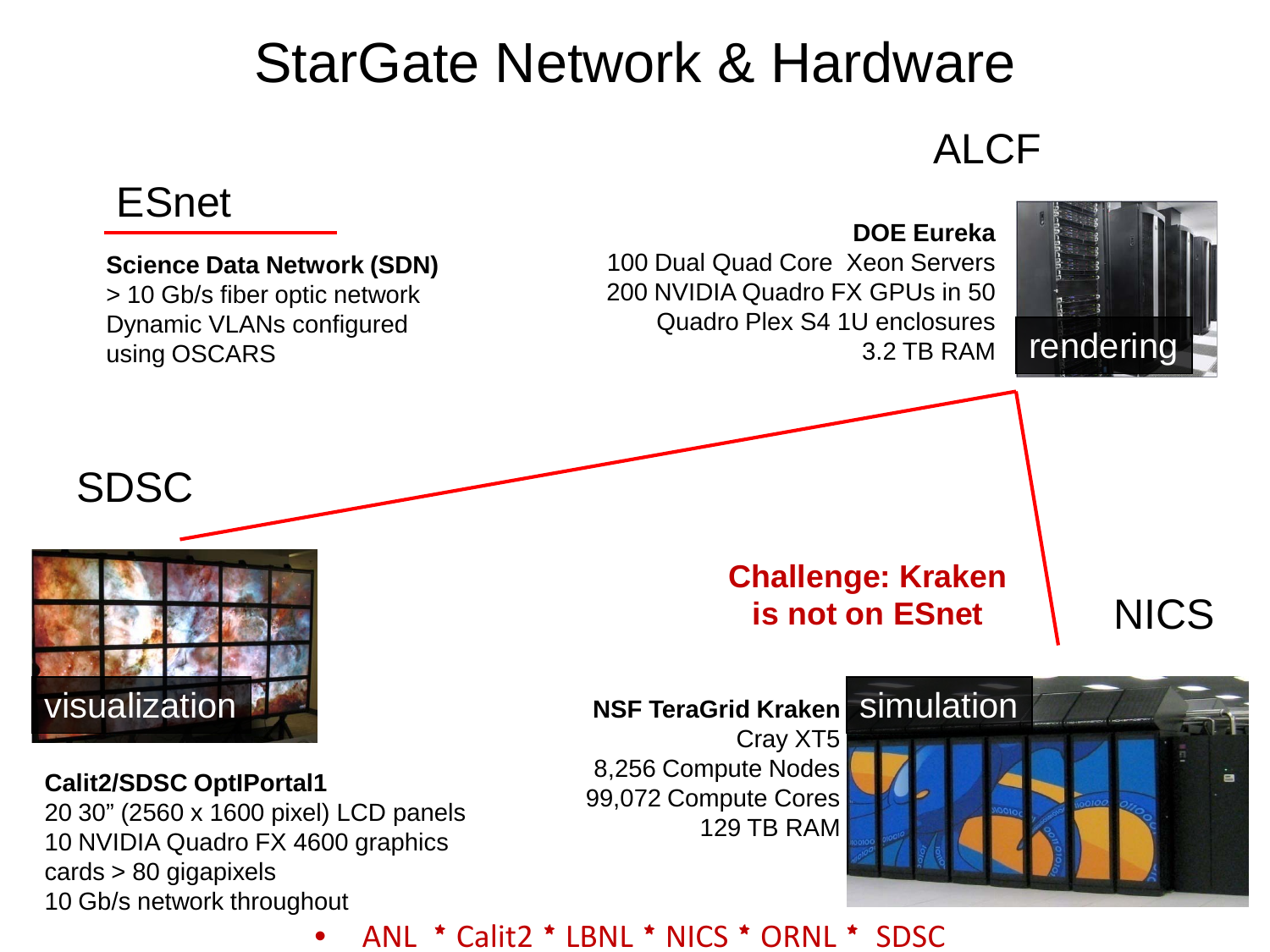## StarGate Network & Hardware

## ALCF

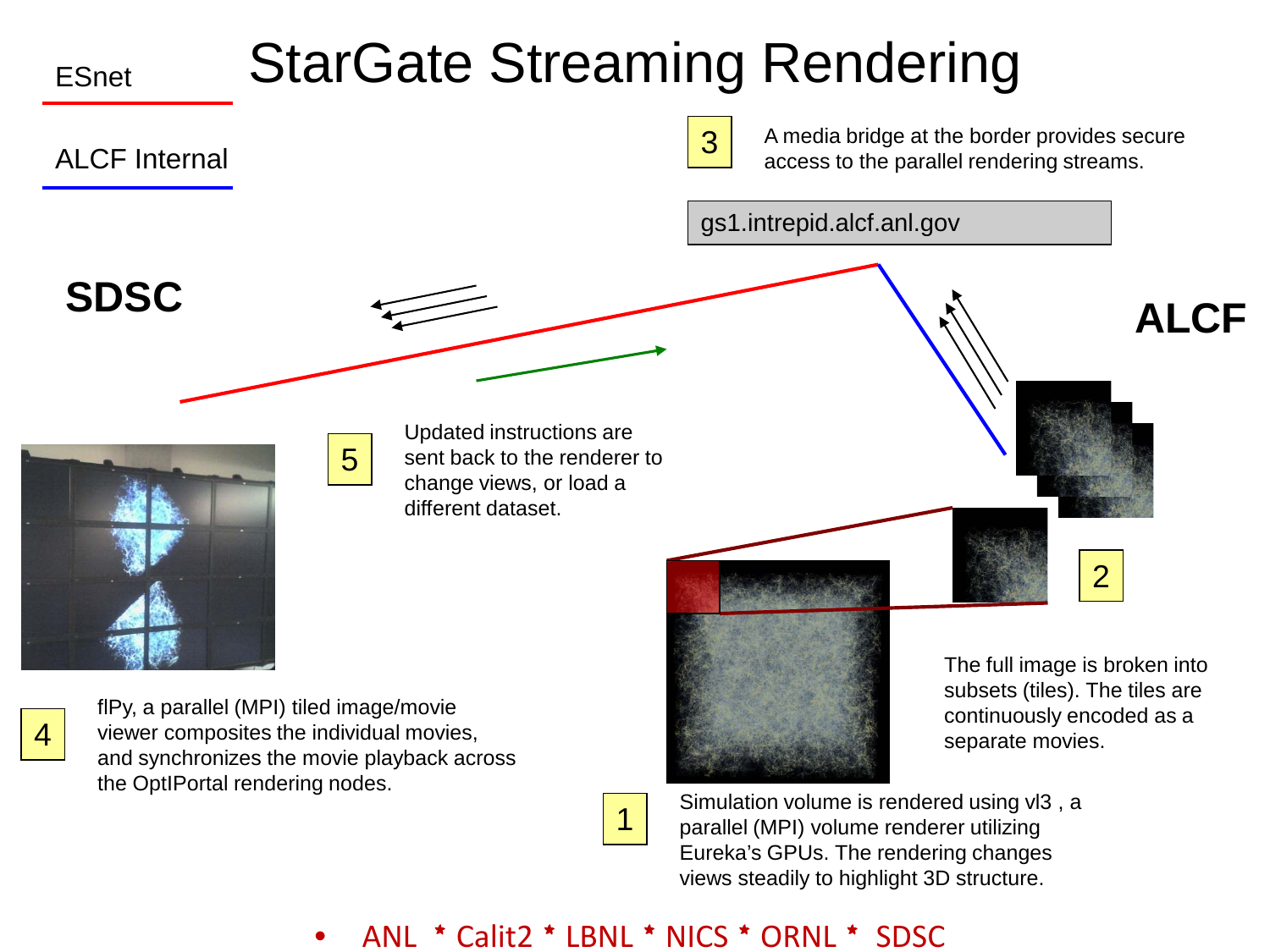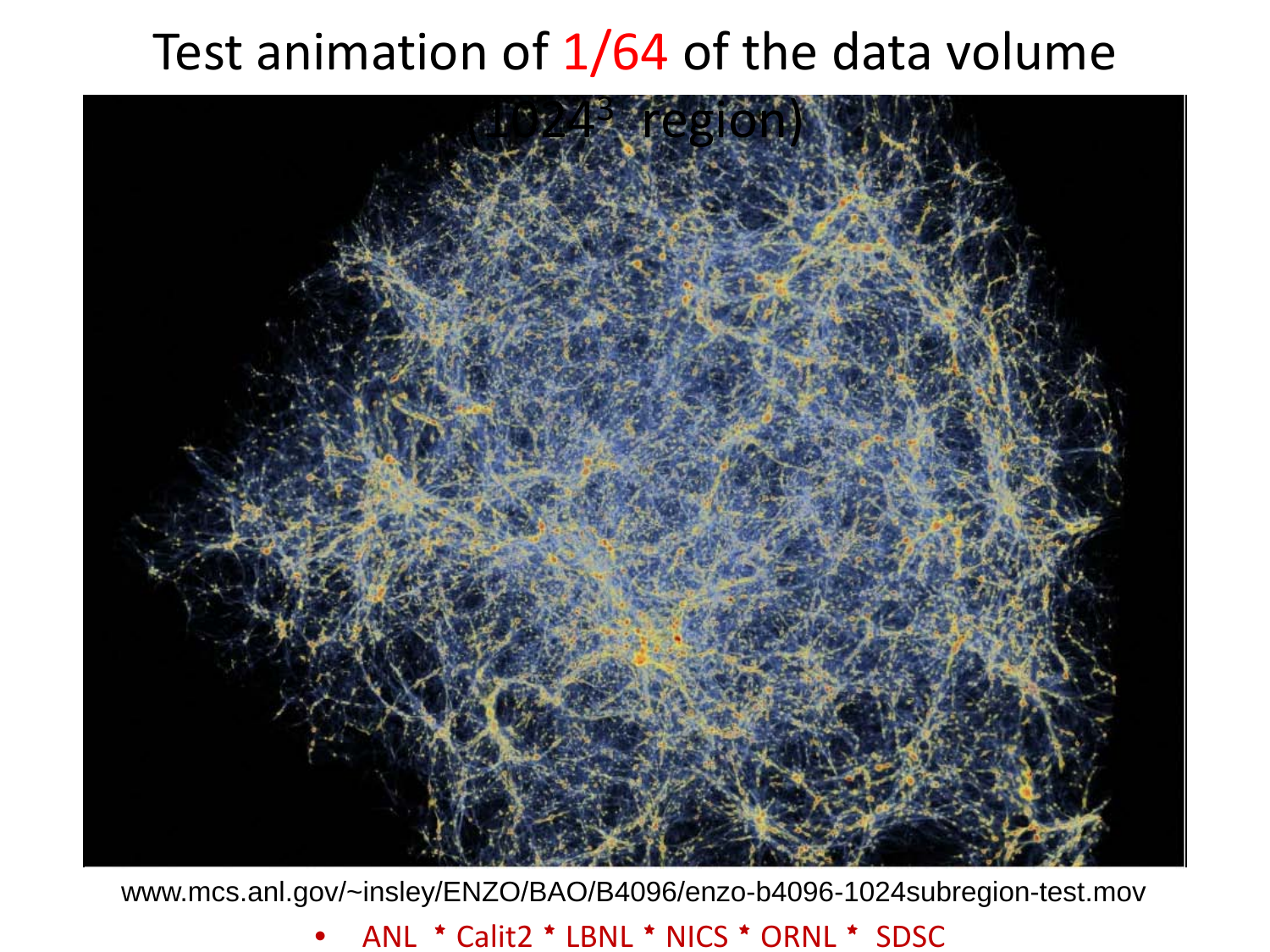## Test animation of  $1/64$  of the data volume



www.mcs.anl.gov/~insley/ENZO/BAO/B4096/enzo-b4096-1024subregion-test.mov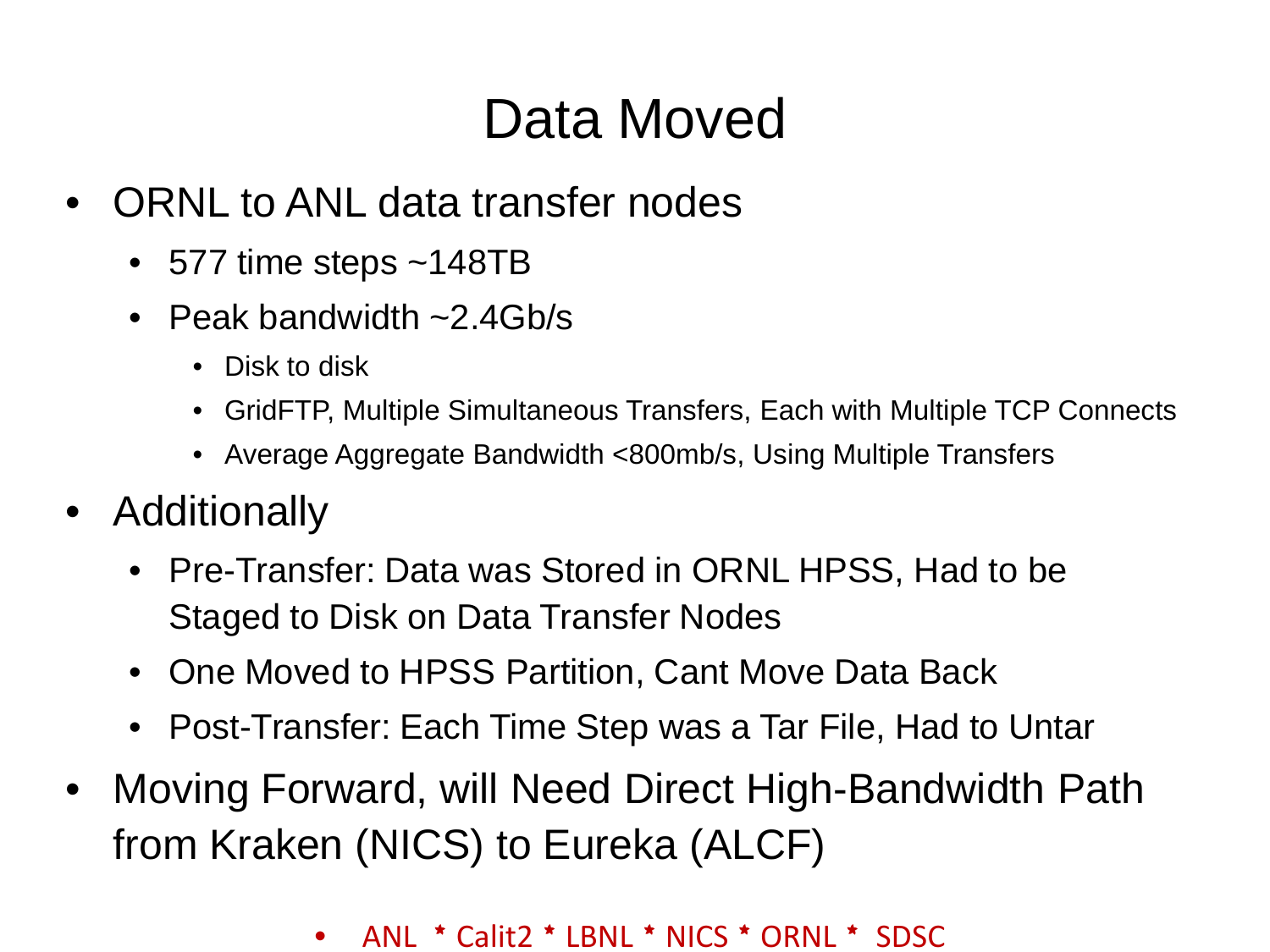# Data Moved

- ORNL to ANL data transfer nodes
	- 577 time steps ~148TB
	- Peak bandwidth ~2.4Gb/s
		- Disk to disk
		- GridFTP, Multiple Simultaneous Transfers, Each with Multiple TCP Connects
		- Average Aggregate Bandwidth <800mb/s, Using Multiple Transfers
- Additionally
	- Pre-Transfer: Data was Stored in ORNL HPSS, Had to be Staged to Disk on Data Transfer Nodes
	- One Moved to HPSS Partition, Cant Move Data Back
	- Post-Transfer: Each Time Step was a Tar File, Had to Untar
- Moving Forward, will Need Direct High-Bandwidth Path from Kraken (NICS) to Eureka (ALCF)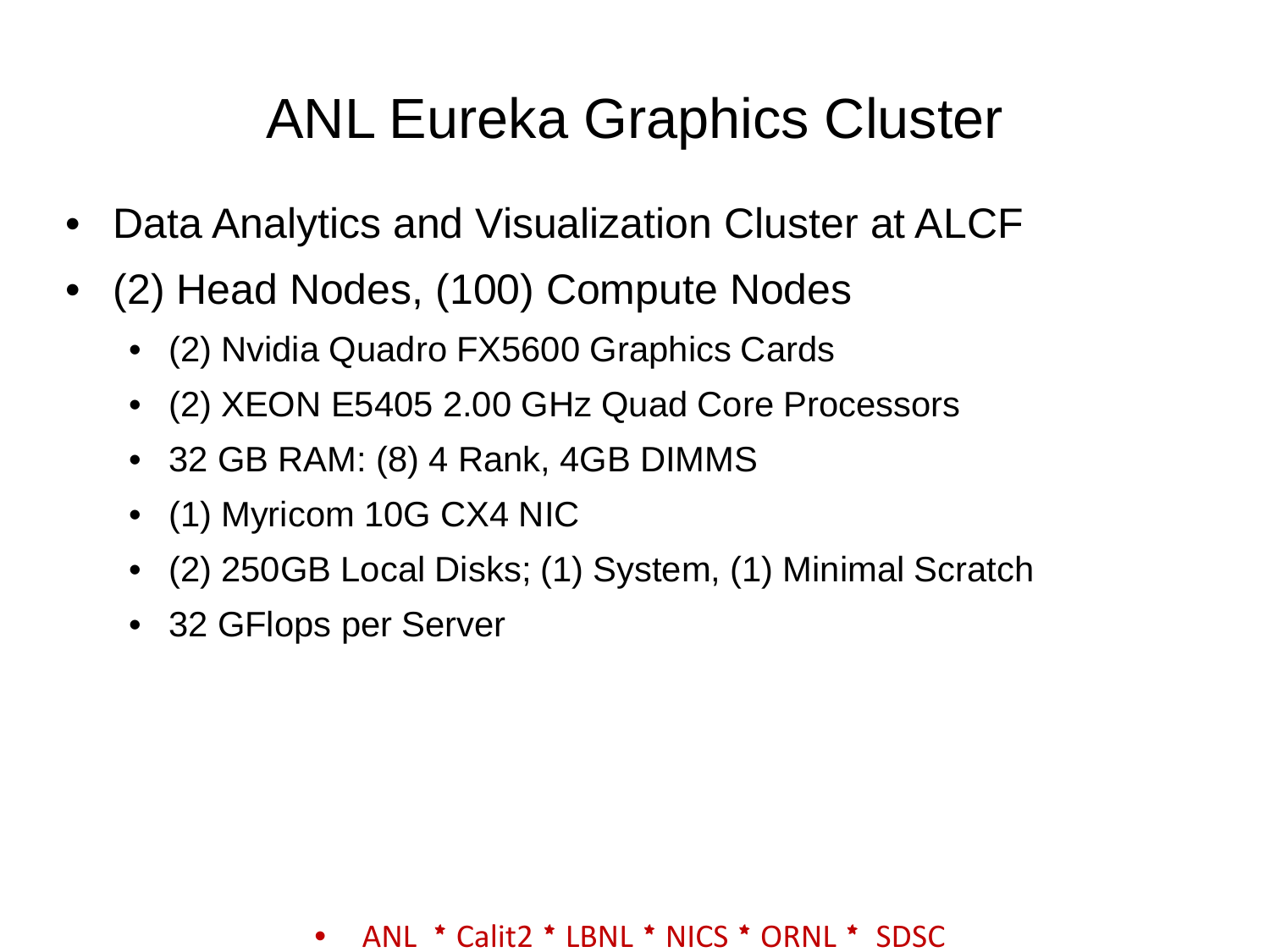# ANL Eureka Graphics Cluster

- Data Analytics and Visualization Cluster at ALCF
- (2) Head Nodes, (100) Compute Nodes
	- (2) Nvidia Quadro FX5600 Graphics Cards
	- (2) XEON E5405 2.00 GHz Quad Core Processors
	- 32 GB RAM: (8) 4 Rank, 4GB DIMMS
	- (1) Myricom 10G CX4 NIC
	- (2) 250GB Local Disks; (1) System, (1) Minimal Scratch
	- 32 GFlops per Server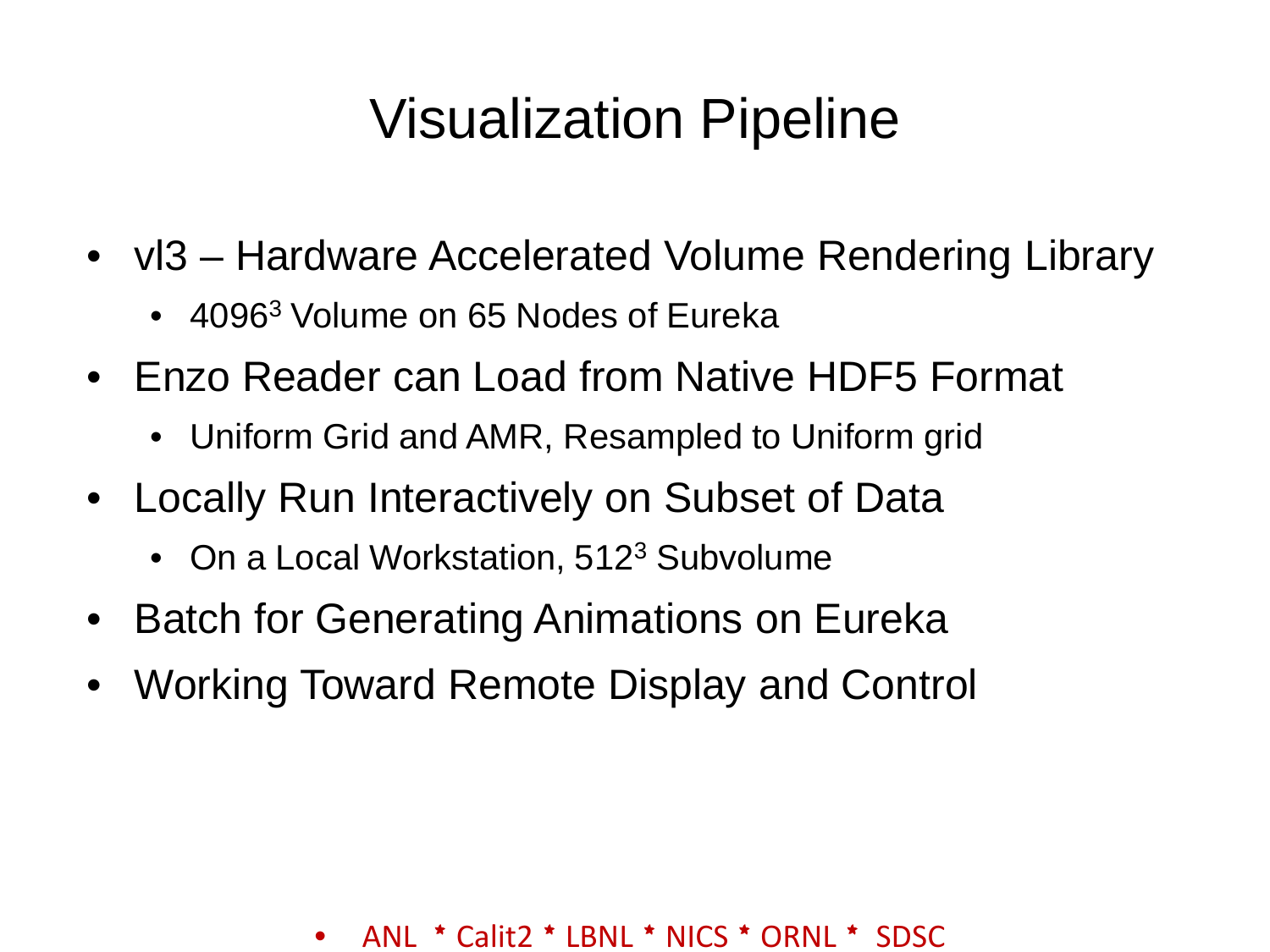# Visualization Pipeline

- vl3 Hardware Accelerated Volume Rendering Library
	- 4096<sup>3</sup> Volume on 65 Nodes of Eureka
- Enzo Reader can Load from Native HDF5 Format
	- Uniform Grid and AMR, Resampled to Uniform grid
- Locally Run Interactively on Subset of Data
	- On a Local Workstation, 512<sup>3</sup> Subvolume
- Batch for Generating Animations on Eureka
- Working Toward Remote Display and Control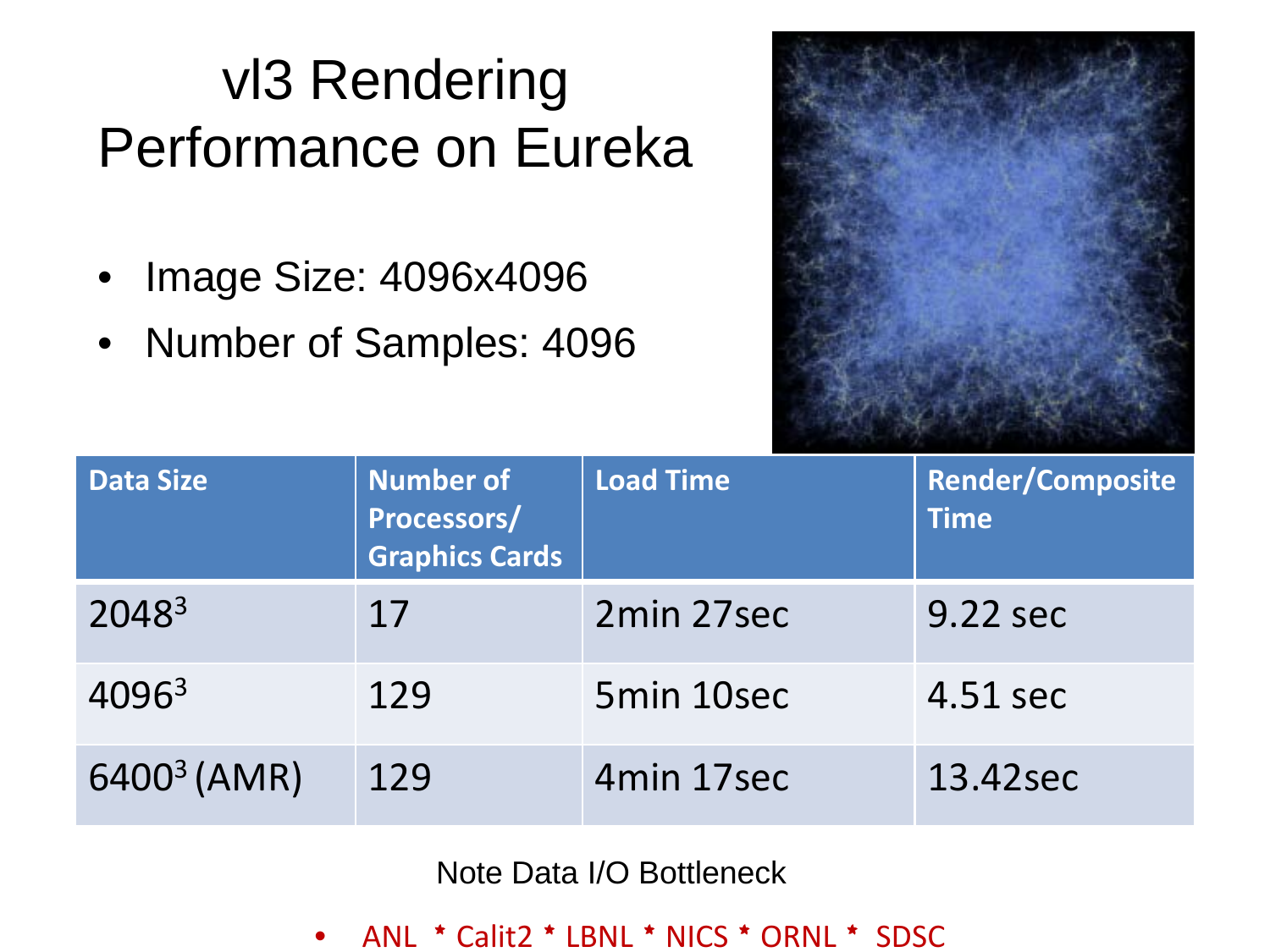# vl3 Rendering Performance on Eureka

- Image Size: 4096x4096
- Number of Samples: 4096



| <b>Data Size</b>  | Number of<br><b>Processors/<br/>Graphics Cards</b> | <b>Load Time</b> | Render/Composite<br><b>Time</b> |
|-------------------|----------------------------------------------------|------------------|---------------------------------|
| 2048 <sup>3</sup> | 17                                                 | 2min 27sec       | 9.22 sec                        |
| $4096^3$          | 129                                                | 5min 10sec       | 4.51 sec                        |
| $6400^3$ (AMR)    | 129                                                | 4min 17sec       | 13.42sec                        |

Note Data I/O Bottleneck